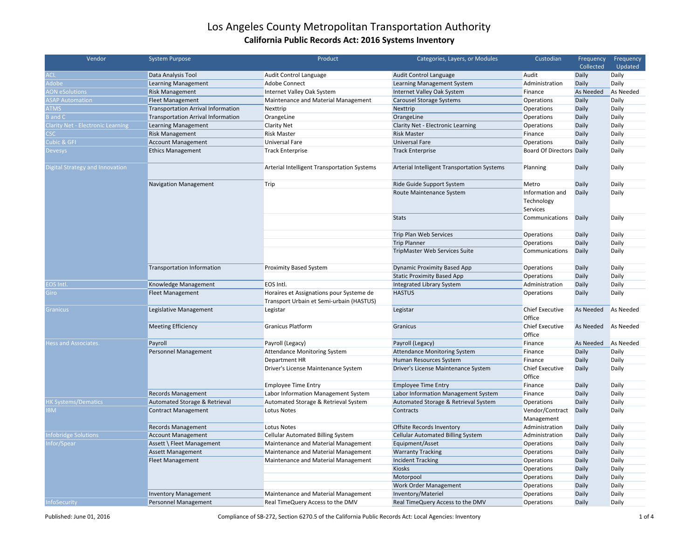| Vendor                                   | <b>System Purpose</b>                     | Product                                                                              | Categories, Layers, or Modules              | Custodian                                 | Frequency    | Frequency        |
|------------------------------------------|-------------------------------------------|--------------------------------------------------------------------------------------|---------------------------------------------|-------------------------------------------|--------------|------------------|
|                                          |                                           |                                                                                      |                                             |                                           | Collected    | Updated          |
| <b>ACL</b>                               | Data Analysis Tool                        | Audit Control Language                                                               | Audit Control Language                      | Audit                                     | Daily        | Daily            |
| Adobe                                    | Learning Management                       | Adobe Connect                                                                        | Learning Management System                  | Administration                            | Daily        | Daily            |
| <b>AON eSolutions</b>                    | <b>Risk Management</b>                    | Internet Valley Oak System                                                           | Internet Valley Oak System                  | Finance                                   | As Needed    | As Needed        |
| <b>ASAP Automation</b>                   | <b>Fleet Management</b>                   | Maintenance and Material Management                                                  | Carousel Storage Systems                    | <b>Operations</b>                         | Daily        | Daily            |
| <b>ATMS</b>                              | <b>Transportation Arrival Information</b> | Nexttrip                                                                             | Nexttrip                                    | Operations                                | Daily        | Daily            |
| <b>B</b> and C                           | <b>Transportation Arrival Information</b> | OrangeLine                                                                           | OrangeLine                                  | Operations                                | Daily        | Daily            |
| <b>Clarity Net - Electronic Learning</b> | <b>Learning Management</b>                | <b>Clarity Net</b>                                                                   | Clarity Net - Electronic Learning           | <b>Operations</b>                         | Daily        | Daily            |
| CSC                                      | <b>Risk Management</b>                    | <b>Risk Master</b>                                                                   | <b>Risk Master</b>                          | Finance                                   | Daily        | Daily            |
| Cubic & GFI                              | <b>Account Management</b>                 | Universal Fare                                                                       | <b>Universal Fare</b>                       | <b>Operations</b>                         | Daily        | Daily            |
| <b>Devesys</b>                           | <b>Ethics Management</b>                  | <b>Track Enterprise</b>                                                              | <b>Track Enterprise</b>                     | <b>Board Of Directors Daily</b>           |              | Daily            |
| Digital Strategy and Innovation          |                                           | Arterial Intelligent Transportation Systems                                          | Arterial Intelligent Transportation Systems | Planning                                  | Daily        | Daily            |
|                                          | <b>Navigation Management</b>              | Trip                                                                                 | Ride Guide Support System                   | Metro                                     | Daily        | Daily            |
|                                          |                                           |                                                                                      | Route Maintenance System                    | Information and<br>Technology<br>Services | Daily        | Daily            |
|                                          |                                           |                                                                                      | <b>Stats</b>                                | Communications                            | <b>Daily</b> | Daily            |
|                                          |                                           |                                                                                      | Trip Plan Web Services                      | <b>Operations</b>                         | Daily        | Daily            |
|                                          |                                           |                                                                                      | <b>Trip Planner</b>                         | <b>Operations</b>                         | Daily        | Daily            |
|                                          |                                           |                                                                                      | TripMaster Web Services Suite               | Communications                            | Daily        | Daily            |
|                                          | Transportation Information                | <b>Proximity Based System</b>                                                        | <b>Dynamic Proximity Based App</b>          | Operations                                | Daily        | Daily            |
|                                          |                                           |                                                                                      | <b>Static Proximity Based App</b>           | <b>Operations</b>                         | Daily        | Daily            |
| <b>EOS Intl.</b>                         | Knowledge Management                      | EOS Intl.                                                                            | Integrated Library System                   | Administration                            | Daily        | Daily            |
| Giro                                     | <b>Fleet Management</b>                   | Horaires et Assignations pour Systeme de<br>Transport Urbain et Semi-urbain (HASTUS) | <b>HASTUS</b>                               | Operations                                | Daily        | Daily            |
| <b>Granicus</b>                          | Legislative Management                    | Legistar                                                                             | Legistar                                    | <b>Chief Executive</b><br>Office          | As Needed    | As Needed        |
|                                          | <b>Meeting Efficiency</b>                 | <b>Granicus Platform</b>                                                             | Granicus                                    | <b>Chief Executive</b><br>Office          | As Needed    | As Needed        |
| <b>Hess and Associates</b>               | Payroll                                   | Payroll (Legacy)                                                                     | Payroll (Legacy)                            | Finance                                   | As Needed    | <b>As Needed</b> |
|                                          | Personnel Management                      | <b>Attendance Monitoring System</b>                                                  | <b>Attendance Monitoring System</b>         | Finance                                   | Daily        | Daily            |
|                                          |                                           | Department HR                                                                        | Human Resources System                      | Finance                                   | Daily        | Daily            |
|                                          |                                           | Driver's License Maintenance System                                                  | Driver's License Maintenance System         | <b>Chief Executive</b><br>Office          | Daily        | Daily            |
|                                          |                                           | <b>Employee Time Entry</b>                                                           | <b>Employee Time Entry</b>                  | Finance                                   | Daily        | Daily            |
|                                          | <b>Records Management</b>                 | Labor Information Management System                                                  | Labor Information Management System         | Finance                                   | Daily        | Daily            |
| <b>HK Systems/Dematics</b>               | Automated Storage & Retrieval             | Automated Storage & Retrieval System                                                 | Automated Storage & Retrieval System        | Operations                                | Daily        | Daily            |
| <b>BM</b>                                | <b>Contract Management</b>                | Lotus Notes                                                                          | Contracts                                   | Vendor/Contract<br>Management             | Daily        | Daily            |
|                                          | Records Management                        | Lotus Notes                                                                          | Offsite Records Inventory                   | Administration                            | Daily        | Daily            |
| nfobridge Solutions                      | <b>Account Management</b>                 | <b>Cellular Automated Billing System</b>                                             | <b>Cellular Automated Billing System</b>    | Administration                            | Daily        | Daily            |
| nfor/Spear                               | Assett \ Fleet Management                 | Maintenance and Material Management                                                  | Equipment/Asset                             | Operations                                | Daily        | Daily            |
|                                          | <b>Assett Management</b>                  | Maintenance and Material Management                                                  | <b>Warranty Tracking</b>                    | <b>Operations</b>                         | Daily        | Daily            |
|                                          | <b>Fleet Management</b>                   | Maintenance and Material Management                                                  | <b>Incident Tracking</b>                    | <b>Operations</b>                         | Daily        | Daily            |
|                                          |                                           |                                                                                      | Kiosks                                      | <b>Operations</b>                         | Daily        | Daily            |
|                                          |                                           |                                                                                      | Motorpool                                   | Operations                                | Daily        | Daily            |
|                                          |                                           |                                                                                      | <b>Work Order Management</b>                | Operations                                | Daily        | Daily            |
|                                          | <b>Inventory Management</b>               | Maintenance and Material Management                                                  | Inventory/Materiel                          | <b>Operations</b>                         | Daily        | Daily            |
| InfoSecurity                             | <b>Personnel Management</b>               | Real TimeQuery Access to the DMV                                                     | Real TimeQuery Access to the DMV            | Operations                                | Daily        | Daily            |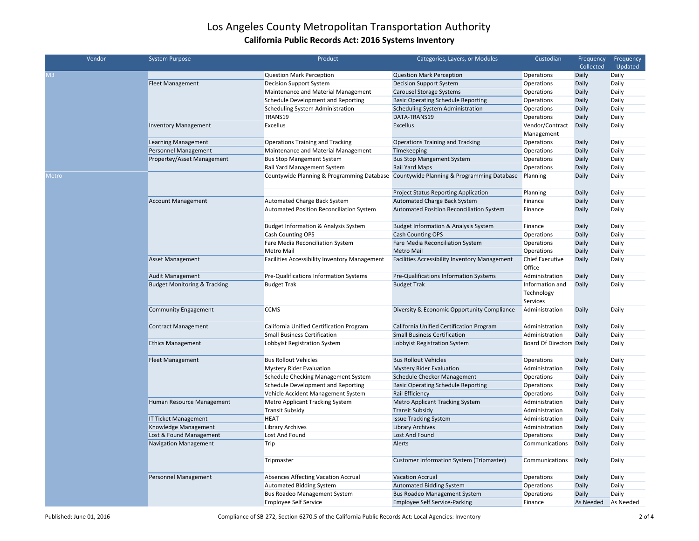| Vendor              | <b>System Purpose</b>                   | Product                                         | Categories, Layers, or Modules                                                        | Custodian                                 | Frequency | Frequency |
|---------------------|-----------------------------------------|-------------------------------------------------|---------------------------------------------------------------------------------------|-------------------------------------------|-----------|-----------|
|                     |                                         |                                                 |                                                                                       |                                           | Collected | Updated   |
| M3                  |                                         | <b>Question Mark Perception</b>                 | <b>Question Mark Perception</b>                                                       | Operations                                | Daily     | Daily     |
|                     | <b>Fleet Management</b>                 | <b>Decision Support System</b>                  | <b>Decision Support System</b>                                                        | Operations                                | Daily     | Daily     |
|                     |                                         | Maintenance and Material Management             | <b>Carousel Storage Systems</b>                                                       | Operations                                | Daily     | Daily     |
|                     |                                         | Schedule Development and Reporting              | <b>Basic Operating Schedule Reporting</b>                                             | Operations                                | Daily     | Daily     |
|                     |                                         | Scheduling System Administration                | Scheduling System Administration                                                      | Operations                                | Daily     | Daily     |
|                     |                                         | TRANS19                                         | DATA-TRANS19                                                                          | Operations                                | Daily     | Daily     |
|                     | <b>Inventory Management</b>             | Excellus                                        | Excellus                                                                              | Vendor/Contract                           | Daily     | Daily     |
|                     |                                         |                                                 |                                                                                       | Management                                |           |           |
|                     | <b>Learning Management</b>              | <b>Operations Training and Tracking</b>         | <b>Operations Training and Tracking</b>                                               | Operations                                | Daily     | Daily     |
|                     | Personnel Management                    | Maintenance and Material Management             | Timekeeping                                                                           | Operations                                | Daily     | Daily     |
|                     | Propertey/Asset Management              | <b>Bus Stop Mangement System</b>                | <b>Bus Stop Mangement System</b>                                                      | Operations                                | Daily     | Daily     |
|                     |                                         | Rail Yard Management System                     | Rail Yard Maps                                                                        | Operations                                | Daily     | Daily     |
| <i><b>Aetro</b></i> |                                         |                                                 | Countywide Planning & Programming Database Countywide Planning & Programming Database | Planning                                  | Daily     | Daily     |
|                     |                                         |                                                 | <b>Project Status Reporting Application</b>                                           | Planning                                  | Daily     | Daily     |
|                     | <b>Account Management</b>               | Automated Charge Back System                    | Automated Charge Back System                                                          | Finance                                   | Daily     | Daily     |
|                     |                                         | Automated Position Reconciliation System        | Automated Position Reconciliation System                                              | Finance                                   | Daily     | Daily     |
|                     |                                         | <b>Budget Information &amp; Analysis System</b> | <b>Budget Information &amp; Analysis System</b>                                       | Finance                                   | Daily     | Daily     |
|                     |                                         | Cash Counting OPS                               | Cash Counting OPS                                                                     | Operations                                | Daily     | Daily     |
|                     |                                         | Fare Media Reconciliation System                | Fare Media Reconciliation System                                                      | Operations                                | Daily     | Daily     |
|                     |                                         | Metro Mail                                      | Metro Mail                                                                            | Operations                                | Daily     | Daily     |
|                     | <b>Asset Management</b>                 | Facilities Accessibility Inventory Management   | <b>Facilities Accessibility Inventory Management</b>                                  | <b>Chief Executive</b><br>Office          | Daily     | Daily     |
|                     | <b>Audit Management</b>                 | Pre-Qualifications Information Systems          | Pre-Qualifications Information Systems                                                | Administration                            | Daily     | Daily     |
|                     | <b>Budget Monitoring &amp; Tracking</b> | <b>Budget Trak</b>                              | <b>Budget Trak</b>                                                                    | Information and<br>Technology<br>Services | Daily     | Daily     |
|                     | <b>Community Engagement</b>             | <b>CCMS</b>                                     | Diversity & Economic Opportunity Compliance                                           | Administration                            | Daily     | Daily     |
|                     | <b>Contract Management</b>              | California Unified Certification Program        | California Unified Certification Program                                              | Administration                            | Daily     | Daily     |
|                     |                                         | <b>Small Business Certification</b>             | <b>Small Business Certification</b>                                                   | Administration                            | Daily     | Daily     |
|                     | <b>Ethics Management</b>                | Lobbyist Registration System                    | Lobbyist Registration System                                                          | <b>Board Of Directors Daily</b>           |           | Daily     |
|                     | <b>Fleet Management</b>                 | <b>Bus Rollout Vehicles</b>                     | <b>Bus Rollout Vehicles</b>                                                           | Operations                                | Daily     | Daily     |
|                     |                                         | <b>Mystery Rider Evaluation</b>                 | <b>Mystery Rider Evaluation</b>                                                       | Administration                            | Daily     | Daily     |
|                     |                                         | Schedule Checking Management System             | Schedule Checker Management                                                           | Operations                                | Daily     | Daily     |
|                     |                                         | Schedule Development and Reporting              | <b>Basic Operating Schedule Reporting</b>                                             | Operations                                | Daily     | Daily     |
|                     |                                         | Vehicle Accident Management System              | Rail Efficiency                                                                       | Operations                                | Daily     | Daily     |
|                     | Human Resource Management               | Metro Applicant Tracking System                 | Metro Applicant Tracking System                                                       | Administration                            | Daily     | Daily     |
|                     |                                         | <b>Transit Subsidy</b>                          | <b>Transit Subsidy</b>                                                                | Administration                            | Daily     | Daily     |
|                     | <b>IT Ticket Management</b>             | <b>HEAT</b>                                     | <b>Issue Tracking System</b>                                                          | Administration                            | Daily     | Daily     |
|                     | Knowledge Management                    | <b>Library Archives</b>                         | <b>Library Archives</b>                                                               | Administration                            | Daily     | Daily     |
|                     | Lost & Found Management                 | Lost And Found                                  | Lost And Found                                                                        | Operations                                | Daily     | Daily     |
|                     | <b>Navigation Management</b>            | Trip                                            | Alerts                                                                                | Communications                            | Daily     | Daily     |
|                     |                                         | Tripmaster                                      | Customer Information System (Tripmaster)                                              | Communications                            | Daily     | Daily     |
|                     | Personnel Management                    | Absences Affecting Vacation Accrual             | <b>Vacation Accrual</b>                                                               | Operations                                | Daily     | Daily     |
|                     |                                         | <b>Automated Bidding System</b>                 | <b>Automated Bidding System</b>                                                       | Operations                                | Daily     | Daily     |
|                     |                                         | <b>Bus Roadeo Management System</b>             | <b>Bus Roadeo Management System</b>                                                   | <b>Operations</b>                         | Daily     | Daily     |
|                     |                                         | <b>Employee Self Service</b>                    | <b>Employee Self Service-Parking</b>                                                  | Finance                                   | As Needed | As Needed |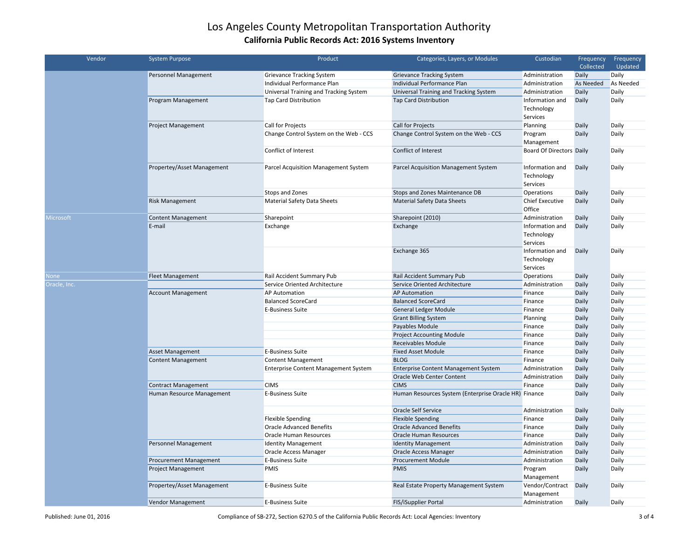| Vendor           | <b>System Purpose</b>      | Product                                     | Categories, Layers, or Modules                | Custodian                       | Frequency<br>Collected | Frequency<br>Updated |
|------------------|----------------------------|---------------------------------------------|-----------------------------------------------|---------------------------------|------------------------|----------------------|
|                  | Personnel Management       | <b>Grievance Tracking System</b>            | <b>Grievance Tracking System</b>              | Administration                  | Daily                  | Daily                |
|                  |                            | Individual Performance Plan                 | Individual Performance Plan                   | Administration                  | As Needed              | As Needed            |
|                  |                            | Universal Training and Tracking System      | Universal Training and Tracking System        | Administration                  | Daily                  | Daily                |
|                  | Program Management         | <b>Tap Card Distribution</b>                | <b>Tap Card Distribution</b>                  | Information and                 | Daily                  | Daily                |
|                  |                            |                                             |                                               | Technology                      |                        |                      |
|                  |                            |                                             |                                               | Services                        |                        |                      |
|                  | <b>Project Management</b>  | Call for Projects                           | Call for Projects                             | Planning                        | Daily                  | Daily                |
|                  |                            | Change Control System on the Web - CCS      | Change Control System on the Web - CCS        | Program                         | Daily                  | Daily                |
|                  |                            |                                             |                                               | Management                      |                        |                      |
|                  |                            | Conflict of Interest                        | Conflict of Interest                          | <b>Board Of Directors Daily</b> |                        | Daily                |
|                  |                            |                                             |                                               |                                 |                        |                      |
|                  | Propertey/Asset Management | Parcel Acquisition Management System        | Parcel Acquisition Management System          | Information and                 | Daily                  | Daily                |
|                  |                            |                                             |                                               | Technology                      |                        |                      |
|                  |                            |                                             |                                               | Services                        |                        |                      |
|                  |                            | Stops and Zones                             | Stops and Zones Maintenance DB                | Operations                      | Daily                  | Daily                |
|                  | <b>Risk Management</b>     | <b>Material Safety Data Sheets</b>          | <b>Material Safety Data Sheets</b>            | Chief Executive                 | Daily                  | Daily                |
|                  |                            |                                             |                                               | Office                          |                        |                      |
| <b>Microsoft</b> | <b>Content Management</b>  | Sharepoint                                  | Sharepoint (2010)                             | Administration                  | Daily                  | Daily                |
|                  | E-mail                     | Exchange                                    | Exchange                                      | Information and                 | Daily                  | Daily                |
|                  |                            |                                             |                                               | Technology                      |                        |                      |
|                  |                            |                                             |                                               | Services                        |                        |                      |
|                  |                            |                                             | Exchange 365                                  | Information and                 | Daily                  | Daily                |
|                  |                            |                                             |                                               | Technology                      |                        |                      |
|                  |                            |                                             |                                               | Services                        |                        |                      |
| None             | <b>Fleet Management</b>    | Rail Accident Summary Pub                   | Rail Accident Summary Pub                     | Operations                      | Daily                  | Daily                |
| Oracle, Inc.     |                            | Service Oriented Architecture               | Service Oriented Architecture                 | Administration                  | Daily                  | Daily                |
|                  | <b>Account Management</b>  | AP Automation                               | <b>AP Automation</b>                          | Finance                         | Daily                  | Daily                |
|                  |                            | <b>Balanced ScoreCard</b>                   | <b>Balanced ScoreCard</b>                     | Finance                         | Daily                  | Daily                |
|                  |                            | <b>E-Business Suite</b>                     | <b>General Ledger Module</b>                  | Finance                         | Daily                  | Daily                |
|                  |                            |                                             | <b>Grant Billing System</b>                   | Planning                        | Daily                  | Daily                |
|                  |                            |                                             | Payables Module                               | Finance                         | Daily                  | Daily                |
|                  |                            |                                             | <b>Project Accounting Module</b>              | Finance                         | Daily                  | Daily                |
|                  |                            |                                             | <b>Receivables Module</b>                     | Finance                         | Daily                  | Daily                |
|                  | <b>Asset Management</b>    | <b>E-Business Suite</b>                     | <b>Fixed Asset Module</b>                     | Finance                         | Daily                  | Daily                |
|                  | <b>Content Management</b>  | <b>Content Management</b>                   | <b>BLOG</b>                                   | Finance                         | Daily                  | Daily                |
|                  |                            | <b>Enterprise Content Management System</b> | Enterprise Content Management System          | Administration                  | Daily                  | Daily                |
|                  |                            |                                             | Oracle Web Center Content                     | Administration                  | Daily                  | Daily                |
|                  | <b>Contract Management</b> | <b>CIMS</b>                                 | <b>CIMS</b>                                   | Finance                         | Daily                  | Daily                |
|                  | Human Resource Management  | <b>E-Business Suite</b>                     | Human Resources System (Enterprise Oracle HR) | Finance                         | Daily                  | Daily                |
|                  |                            |                                             |                                               |                                 |                        |                      |
|                  |                            |                                             | <b>Oracle Self Service</b>                    | Administration                  | Daily                  | Daily                |
|                  |                            | <b>Flexible Spending</b>                    | <b>Flexible Spending</b>                      | Finance                         | Daily                  | Daily                |
|                  |                            | <b>Oracle Advanced Benefits</b>             | <b>Oracle Advanced Benefits</b>               | Finance                         | Daily                  | Daily                |
|                  |                            | Oracle Human Resources                      | <b>Oracle Human Resources</b>                 | Finance                         | Daily                  | Daily                |
|                  | Personnel Management       | <b>Identity Management</b>                  | <b>Identity Management</b>                    | Administration                  | Daily                  | Daily                |
|                  |                            | Oracle Access Manager                       | Oracle Access Manager                         | Administration                  | Daily                  | Daily                |
|                  | Procurement Management     | E-Business Suite                            | <b>Procurement Module</b>                     | Administration                  | Daily                  | Daily                |
|                  | <b>Project Management</b>  | <b>PMIS</b>                                 | <b>PMIS</b>                                   | Program                         | Daily                  | Daily                |
|                  |                            |                                             |                                               | Management                      |                        |                      |
|                  | Propertey/Asset Management | <b>E-Business Suite</b>                     | Real Estate Property Management System        | Vendor/Contract                 | Daily                  | Daily                |
|                  |                            |                                             |                                               | Management                      |                        |                      |
|                  | Vendor Management          | <b>E-Business Suite</b>                     | FIS/iSupplier Portal                          | Administration                  | Daily                  | Daily                |